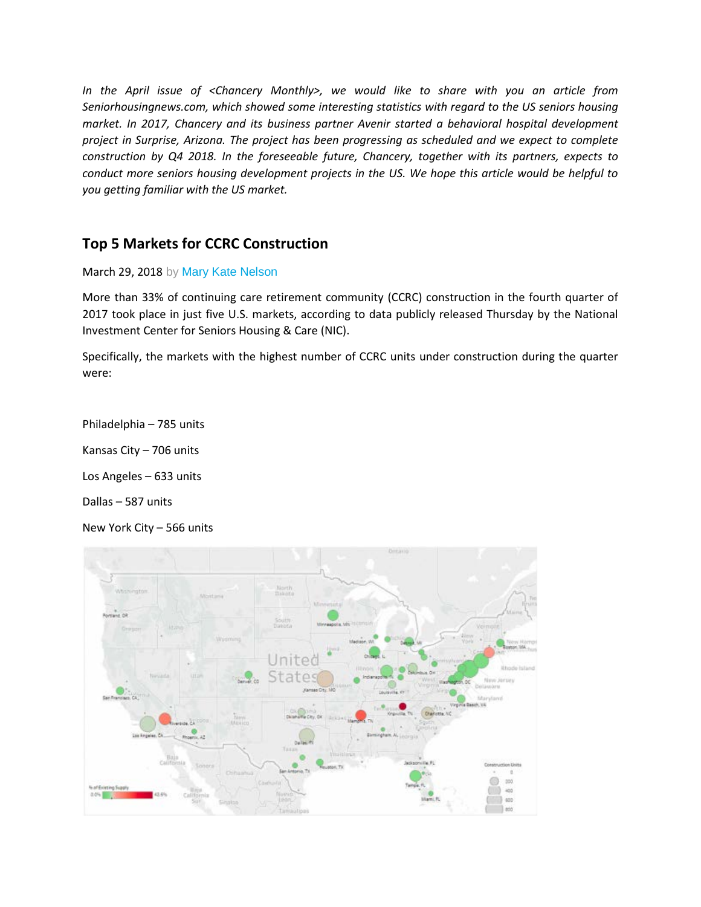*In the April issue of <Chancery Monthly>, we would like to share with you an article from Seniorhousingnews.com, which showed some interesting statistics with regard to the US seniors housing market. In 2017, Chancery and its business partner Avenir started a behavioral hospital development project in Surprise, Arizona. The project has been progressing as scheduled and we expect to complete construction by Q4 2018. In the foreseeable future, Chancery, together with its partners, expects to conduct more seniors housing development projects in the US. We hope this article would be helpful to you getting familiar with the US market.* 

## **Top 5 Markets for CCRC Construction**

March 29, 2018 by Mary [Kate Nelson](https://seniorhousingnews.com/author/mnelson/)

More than 33% of continuing care retirement community (CCRC) construction in the fourth quarter of 2017 took place in just five U.S. markets, according to data publicly released Thursday by the National Investment Center for Seniors Housing & Care (NIC).

Specifically, the markets with the highest number of CCRC units under construction during the quarter were:

Philadelphia – 785 units Kansas City – 706 units Los Angeles – 633 units Dallas – 587 units New York City – 566 units